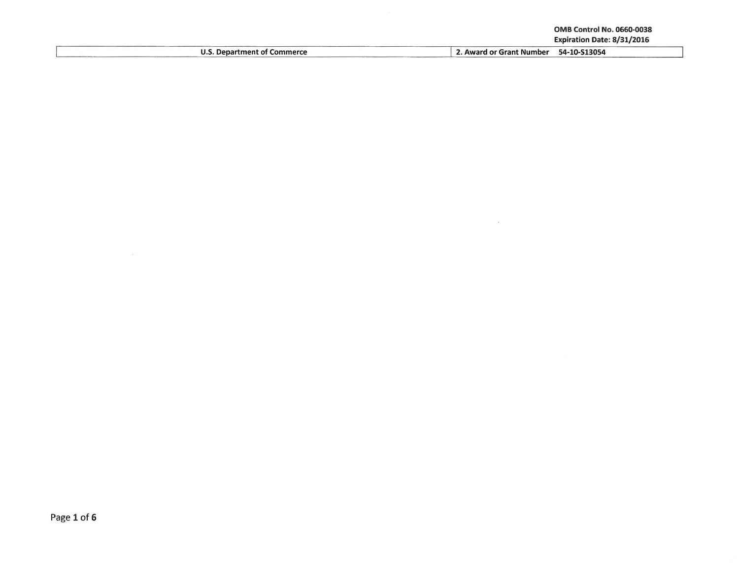$\sim$ 

| <b>J.S. Department of Commerce</b> | 54-10-S13054<br>. Award or Grant Number |
|------------------------------------|-----------------------------------------|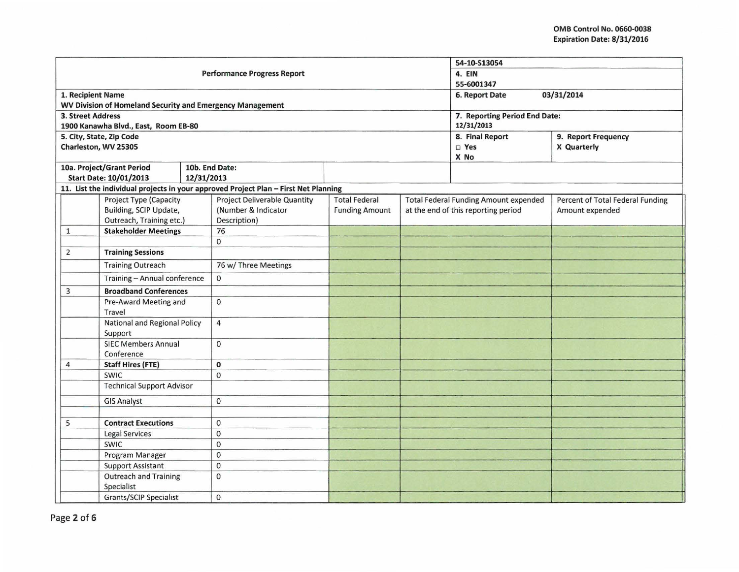|                                                           |                                            |              |                                                                                     |                       |  | 54-10-513054                                 |                                  |  |
|-----------------------------------------------------------|--------------------------------------------|--------------|-------------------------------------------------------------------------------------|-----------------------|--|----------------------------------------------|----------------------------------|--|
| <b>Performance Progress Report</b>                        |                                            |              |                                                                                     |                       |  | 4. EIN                                       |                                  |  |
|                                                           |                                            |              |                                                                                     | 55-6001347            |  |                                              |                                  |  |
| 1. Recipient Name                                         |                                            |              |                                                                                     |                       |  | 03/31/2014<br>6. Report Date                 |                                  |  |
| WV Division of Homeland Security and Emergency Management |                                            |              |                                                                                     |                       |  |                                              |                                  |  |
| <b>3. Street Address</b>                                  |                                            |              |                                                                                     |                       |  | 7. Reporting Period End Date:                |                                  |  |
|                                                           | 1900 Kanawha Blvd., East, Room EB-80       |              |                                                                                     |                       |  | 12/31/2013                                   |                                  |  |
|                                                           | 5. City, State, Zip Code                   |              |                                                                                     |                       |  | 8. Final Report                              | 9. Report Frequency              |  |
|                                                           | Charleston, WV 25305                       |              |                                                                                     |                       |  | □ Yes                                        | X Quarterly                      |  |
|                                                           | 10a. Project/Grant Period                  |              | 10b. End Date:                                                                      |                       |  | X No                                         |                                  |  |
|                                                           | <b>Start Date: 10/01/2013</b>              | 12/31/2013   |                                                                                     |                       |  |                                              |                                  |  |
|                                                           |                                            |              | 11. List the individual projects in your approved Project Plan - First Net Planning |                       |  |                                              |                                  |  |
|                                                           | Project Type (Capacity                     |              | <b>Project Deliverable Quantity</b>                                                 | <b>Total Federal</b>  |  | <b>Total Federal Funding Amount expended</b> | Percent of Total Federal Funding |  |
|                                                           | Building, SCIP Update,                     |              | (Number & Indicator                                                                 | <b>Funding Amount</b> |  | at the end of this reporting period          | Amount expended                  |  |
|                                                           | Outreach, Training etc.)                   |              | Description)                                                                        |                       |  |                                              |                                  |  |
| $\mathbf 1$                                               | <b>Stakeholder Meetings</b>                |              | 76                                                                                  |                       |  |                                              |                                  |  |
|                                                           |                                            |              | $\mathbf{0}$                                                                        |                       |  |                                              |                                  |  |
| $\overline{2}$                                            | <b>Training Sessions</b>                   |              |                                                                                     |                       |  |                                              |                                  |  |
|                                                           | <b>Training Outreach</b>                   |              | 76 w/ Three Meetings                                                                |                       |  |                                              |                                  |  |
|                                                           | Training - Annual conference               |              | $\mathbf{0}$                                                                        |                       |  |                                              |                                  |  |
| 3                                                         | <b>Broadband Conferences</b>               |              |                                                                                     |                       |  |                                              |                                  |  |
| Pre-Award Meeting and<br>Travel                           |                                            | $\Omega$     |                                                                                     |                       |  |                                              |                                  |  |
|                                                           | National and Regional Policy               |              | $\overline{4}$                                                                      |                       |  |                                              |                                  |  |
|                                                           | Support                                    |              |                                                                                     |                       |  |                                              |                                  |  |
| <b>SIEC Members Annual</b><br>Conference                  |                                            | $\mathbf 0$  |                                                                                     |                       |  |                                              |                                  |  |
| 4                                                         | <b>Staff Hires (FTE)</b>                   |              | $\mathbf{0}$                                                                        |                       |  |                                              |                                  |  |
|                                                           | <b>SWIC</b>                                |              | $\mathbf 0$                                                                         |                       |  |                                              |                                  |  |
| <b>Technical Support Advisor</b>                          |                                            |              |                                                                                     |                       |  |                                              |                                  |  |
| <b>GIS Analyst</b>                                        |                                            | $\mathbf 0$  |                                                                                     |                       |  |                                              |                                  |  |
|                                                           |                                            |              |                                                                                     |                       |  |                                              |                                  |  |
| 5                                                         | <b>Contract Executions</b>                 |              | $\mathbf{0}$                                                                        |                       |  |                                              |                                  |  |
|                                                           | <b>Legal Services</b>                      |              | $\mathbf 0$                                                                         |                       |  |                                              |                                  |  |
|                                                           | SWIC                                       |              | $\mathbf{0}$                                                                        |                       |  |                                              |                                  |  |
|                                                           | Program Manager                            |              | $\Omega$                                                                            |                       |  |                                              |                                  |  |
|                                                           | <b>Support Assistant</b>                   |              | $\pmb{0}$                                                                           |                       |  |                                              |                                  |  |
|                                                           | <b>Outreach and Training</b><br>Specialist |              | $\mathbf 0$                                                                         |                       |  |                                              |                                  |  |
| Grants/SCIP Specialist                                    |                                            | $\mathbf{0}$ |                                                                                     |                       |  |                                              |                                  |  |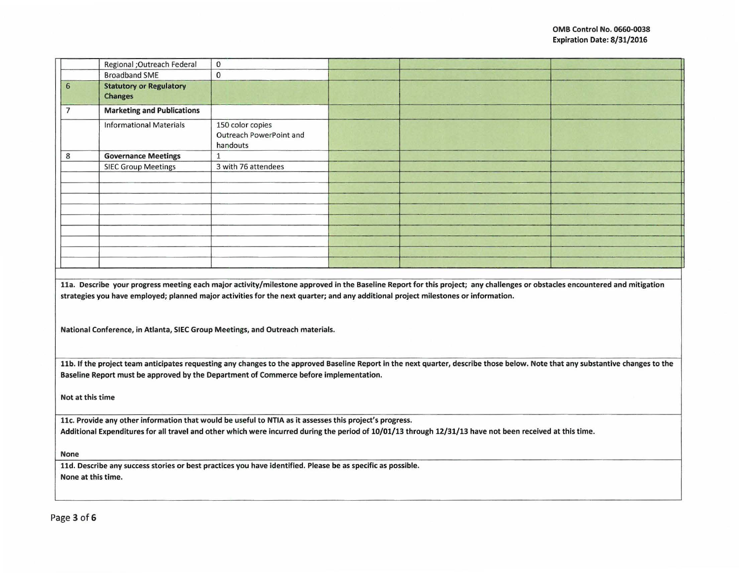|                    | Regional ;Outreach Federal        | $\Omega$                                                                                                                                                                                                            |                                                                                                                                                                                 |  |
|--------------------|-----------------------------------|---------------------------------------------------------------------------------------------------------------------------------------------------------------------------------------------------------------------|---------------------------------------------------------------------------------------------------------------------------------------------------------------------------------|--|
|                    | <b>Broadband SME</b>              | $\mathbf{0}$                                                                                                                                                                                                        |                                                                                                                                                                                 |  |
| $6\phantom{1}6$    | <b>Statutory or Regulatory</b>    |                                                                                                                                                                                                                     |                                                                                                                                                                                 |  |
|                    | <b>Changes</b>                    |                                                                                                                                                                                                                     |                                                                                                                                                                                 |  |
| $\overline{7}$     | <b>Marketing and Publications</b> |                                                                                                                                                                                                                     |                                                                                                                                                                                 |  |
|                    | <b>Informational Materials</b>    | 150 color copies                                                                                                                                                                                                    |                                                                                                                                                                                 |  |
|                    |                                   | Outreach PowerPoint and<br>handouts                                                                                                                                                                                 |                                                                                                                                                                                 |  |
| 8                  | <b>Governance Meetings</b>        | $\mathbf{1}$                                                                                                                                                                                                        |                                                                                                                                                                                 |  |
|                    | <b>SIEC Group Meetings</b>        | 3 with 76 attendees                                                                                                                                                                                                 |                                                                                                                                                                                 |  |
|                    |                                   |                                                                                                                                                                                                                     |                                                                                                                                                                                 |  |
|                    |                                   |                                                                                                                                                                                                                     |                                                                                                                                                                                 |  |
|                    |                                   |                                                                                                                                                                                                                     |                                                                                                                                                                                 |  |
|                    |                                   |                                                                                                                                                                                                                     |                                                                                                                                                                                 |  |
|                    |                                   |                                                                                                                                                                                                                     |                                                                                                                                                                                 |  |
|                    |                                   |                                                                                                                                                                                                                     |                                                                                                                                                                                 |  |
|                    |                                   |                                                                                                                                                                                                                     |                                                                                                                                                                                 |  |
|                    |                                   |                                                                                                                                                                                                                     |                                                                                                                                                                                 |  |
|                    |                                   |                                                                                                                                                                                                                     |                                                                                                                                                                                 |  |
|                    |                                   |                                                                                                                                                                                                                     |                                                                                                                                                                                 |  |
|                    |                                   | strategies you have employed; planned major activities for the next quarter; and any additional project milestones or information.<br>National Conference, in Atlanta, SIEC Group Meetings, and Outreach materials. | 11a. Describe your progress meeting each major activity/milestone approved in the Baseline Report for this project; any challenges or obstacles encountered and mitigation      |  |
|                    |                                   |                                                                                                                                                                                                                     | 11b. If the project team anticipates requesting any changes to the approved Baseline Report in the next quarter, describe those below. Note that any substantive changes to the |  |
|                    |                                   | Baseline Report must be approved by the Department of Commerce before implementation.                                                                                                                               |                                                                                                                                                                                 |  |
| Not at this time   |                                   |                                                                                                                                                                                                                     |                                                                                                                                                                                 |  |
|                    |                                   | 11c. Provide any other information that would be useful to NTIA as it assesses this project's progress.                                                                                                             |                                                                                                                                                                                 |  |
|                    |                                   |                                                                                                                                                                                                                     | Additional Expenditures for all travel and other which were incurred during the period of 10/01/13 through 12/31/13 have not been received at this time.                        |  |
| None               |                                   |                                                                                                                                                                                                                     |                                                                                                                                                                                 |  |
|                    |                                   | 11d. Describe any success stories or best practices you have identified. Please be as specific as possible.                                                                                                         |                                                                                                                                                                                 |  |
| None at this time. |                                   |                                                                                                                                                                                                                     |                                                                                                                                                                                 |  |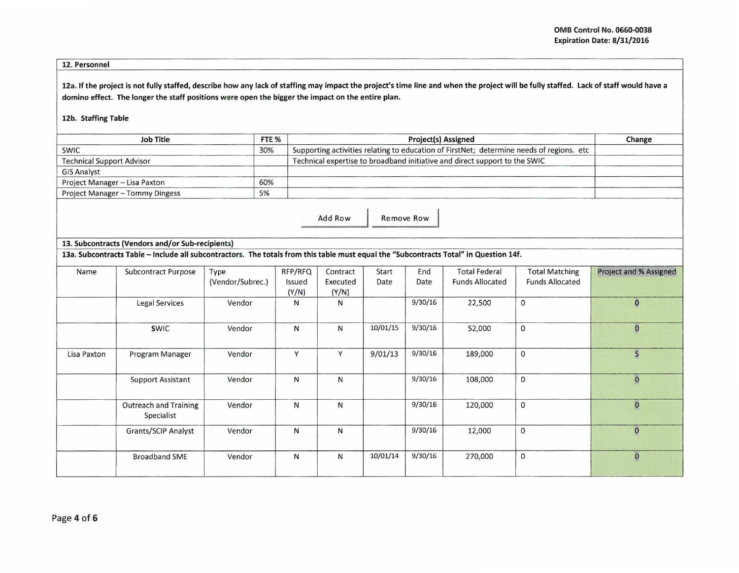## 12. Personnel

12a. If the project is not fully staffed, describe how any lack of staffing may impact the project's time line and when the project will be fully staffed. Lack of staff would have a domino effect. The longer the staff positions were open the bigger the impact on the entire plan.

## 12b. Staffing Table

| <b>Job Title</b>                 | FTE <sub>%</sub> | <b>Project(s) Assigned</b>                                                               | Change |
|----------------------------------|------------------|------------------------------------------------------------------------------------------|--------|
| <b>SWIC</b>                      | 30%              | Supporting activities relating to education of FirstNet; determine needs of regions. etc |        |
| <b>Technical Support Advisor</b> |                  | Technical expertise to broadband initiative and direct support to the SWIC               |        |
| <b>GIS Analyst</b>               |                  |                                                                                          |        |
| Project Manager - Lisa Paxton    | 60%              |                                                                                          |        |
| Project Manager - Tommy Dingess  | 5%               |                                                                                          |        |

Add Row Remove Row

## 13. Subcontracts (Vendors and/or Sub-recipients)

13a. Subcontracts Table -Include all subcontractors. The totals from this table must equal the "Subcontracts Total" in Question 14f.

| Name        | Subcontract Purpose                        | Type             | RFP/RFQ | Contract | Start    | End     | <b>Total Federal</b>   | <b>Total Matching</b>  | <b>Project and % Assigned</b> |
|-------------|--------------------------------------------|------------------|---------|----------|----------|---------|------------------------|------------------------|-------------------------------|
|             |                                            | (Vendor/Subrec.) | Issued  | Executed | Date     | Date    | <b>Funds Allocated</b> | <b>Funds Allocated</b> |                               |
|             |                                            |                  | (Y/N)   | (Y/N)    |          |         |                        |                        |                               |
|             | <b>Legal Services</b>                      | Vendor           | Ν       | N        |          | 9/30/16 | 22,500                 | $\mathbf 0$            | $\mathbf{0}$                  |
|             | <b>SWIC</b>                                | Vendor           | N       | N        | 10/01/15 | 9/30/16 | 52,000                 | $\mathbf{0}$           | $\bf{0}$                      |
| Lisa Paxton | Program Manager                            | Vendor           | Y       | $\vee$   | 9/01/13  | 9/30/16 | 189,000                | $\mathbf{0}$           | 5                             |
|             | <b>Support Assistant</b>                   | Vendor           | N       | N        |          | 9/30/16 | 108,000                | $\mathbf 0$            | $\mathbf 0$                   |
|             | <b>Outreach and Training</b><br>Specialist | Vendor           | N       | N        |          | 9/30/16 | 120,000                | $\mathbf 0$            | $\pmb{0}$                     |
|             | <b>Grants/SCIP Analyst</b>                 | Vendor           | N       | N        |          | 9/30/16 | 12,000                 | $\mathbf 0$            | $\pmb{0}$                     |
|             | <b>Broadband SME</b>                       | Vendor           | N       | N        | 10/01/14 | 9/30/16 | 270,000                | $\mathbf 0$            | $\overline{\mathbf{0}}$       |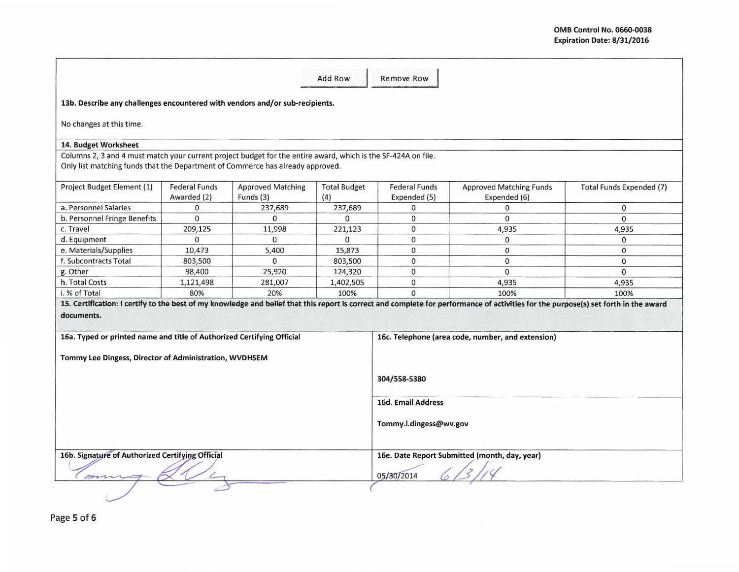| Add Row<br><b>Remove Row</b>                                                                                                                                                                    |                                     |                                       |                            |                                      |                                                                                                                                                                                      |                          |  |
|-------------------------------------------------------------------------------------------------------------------------------------------------------------------------------------------------|-------------------------------------|---------------------------------------|----------------------------|--------------------------------------|--------------------------------------------------------------------------------------------------------------------------------------------------------------------------------------|--------------------------|--|
| 13b. Describe any challenges encountered with vendors and/or sub-recipients.                                                                                                                    |                                     |                                       |                            |                                      |                                                                                                                                                                                      |                          |  |
| No changes at this time.                                                                                                                                                                        |                                     |                                       |                            |                                      |                                                                                                                                                                                      |                          |  |
| 14. Budget Worksheet                                                                                                                                                                            |                                     |                                       |                            |                                      |                                                                                                                                                                                      |                          |  |
| Columns 2, 3 and 4 must match your current project budget for the entire award, which is the SF-424A on file.<br>Only list matching funds that the Department of Commerce has already approved. |                                     |                                       |                            |                                      |                                                                                                                                                                                      |                          |  |
| Project Budget Element (1)                                                                                                                                                                      | <b>Federal Funds</b><br>Awarded (2) | <b>Approved Matching</b><br>Funds (3) | <b>Total Budget</b><br>(4) | <b>Federal Funds</b><br>Expended (5) | <b>Approved Matching Funds</b><br>Expended (6)                                                                                                                                       | Total Funds Expended (7) |  |
| a. Personnel Salaries                                                                                                                                                                           | $\mathbf{0}$                        | 237,689                               | 237,689                    | 0                                    | $\Omega$                                                                                                                                                                             | $\mathbf{0}$             |  |
| b. Personnel Fringe Benefits                                                                                                                                                                    | $\mathbf{0}$                        | $\Omega$                              | $\Omega$                   | $\mathbf{0}$                         | $\Omega$                                                                                                                                                                             | $\Omega$                 |  |
| c. Travel                                                                                                                                                                                       | 209,125                             | 11,998                                | 221,123                    | $\mathbf 0$                          | 4,935                                                                                                                                                                                | 4,935                    |  |
| d. Equipment                                                                                                                                                                                    | $\Omega$                            | $\Omega$                              | $\Omega$                   | $\mathbf 0$                          | $\mathbf{0}$                                                                                                                                                                         | $\mathbf{0}$             |  |
| e. Materials/Supplies                                                                                                                                                                           | 10,473                              | 5.400                                 | 15,873                     | 0                                    | $\Omega$                                                                                                                                                                             | $\Omega$                 |  |
| f. Subcontracts Total                                                                                                                                                                           | 803,500                             | 0                                     | 803,500                    | 0                                    | $\mathbf{0}$                                                                                                                                                                         | $\Omega$                 |  |
| g. Other                                                                                                                                                                                        | 98,400                              | 25,920                                | 124,320                    | 0                                    | $\mathbf{0}$                                                                                                                                                                         | $\mathbf{0}$             |  |
| h. Total Costs                                                                                                                                                                                  | 1,121,498                           | 281,007                               | 1,402,505                  | 0                                    | 4,935                                                                                                                                                                                | 4,935                    |  |
| i. % of Total                                                                                                                                                                                   | 80%                                 | 20%                                   | 100%                       | $\Omega$                             | 100%                                                                                                                                                                                 | 100%                     |  |
|                                                                                                                                                                                                 |                                     |                                       |                            |                                      | 15. Certification: I certify to the best of my knowledge and belief that this report is correct and complete for performance of activities for the purpose(s) set forth in the award |                          |  |
| documents.                                                                                                                                                                                      |                                     |                                       |                            |                                      |                                                                                                                                                                                      |                          |  |
|                                                                                                                                                                                                 |                                     |                                       |                            |                                      |                                                                                                                                                                                      |                          |  |
| 16a. Typed or printed name and title of Authorized Certifying Official                                                                                                                          |                                     |                                       |                            |                                      | 16c. Telephone (area code, number, and extension)                                                                                                                                    |                          |  |
|                                                                                                                                                                                                 |                                     |                                       |                            |                                      |                                                                                                                                                                                      |                          |  |
| Tommy Lee Dingess, Director of Administration, WVDHSEM                                                                                                                                          |                                     |                                       |                            |                                      |                                                                                                                                                                                      |                          |  |
|                                                                                                                                                                                                 |                                     |                                       |                            |                                      |                                                                                                                                                                                      |                          |  |
|                                                                                                                                                                                                 |                                     |                                       |                            | 304/558-5380                         |                                                                                                                                                                                      |                          |  |
|                                                                                                                                                                                                 |                                     |                                       | 16d. Email Address         |                                      |                                                                                                                                                                                      |                          |  |
|                                                                                                                                                                                                 |                                     |                                       |                            |                                      |                                                                                                                                                                                      |                          |  |
|                                                                                                                                                                                                 |                                     |                                       | Tommy.l.dingess@wv.gov     |                                      |                                                                                                                                                                                      |                          |  |
|                                                                                                                                                                                                 |                                     |                                       |                            |                                      |                                                                                                                                                                                      |                          |  |
| 16b. Signature of Authorized Certifying Official<br>16e. Date Report Submitted (month, day, year)                                                                                               |                                     |                                       |                            |                                      |                                                                                                                                                                                      |                          |  |
| 05/30/2014                                                                                                                                                                                      |                                     |                                       |                            |                                      |                                                                                                                                                                                      |                          |  |
|                                                                                                                                                                                                 |                                     |                                       |                            |                                      |                                                                                                                                                                                      |                          |  |